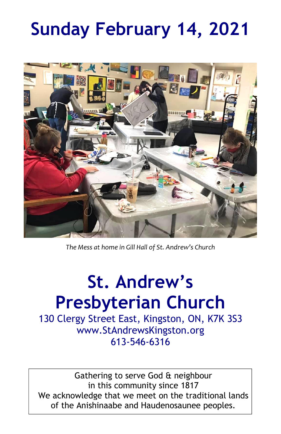# **Sunday February 14, 2021**



*The Mess at home in Gill Hall of St. Andrew's Church*

# **St. Andrew's Presbyterian Church**

130 Clergy Street East, Kingston, ON, K7K 3S3 www.StAndrewsKingston.org 613-546-6316

Gathering to serve God & neighbour in this community since 1817 We acknowledge that we meet on the traditional lands of the Anishinaabe and Haudenosaunee peoples.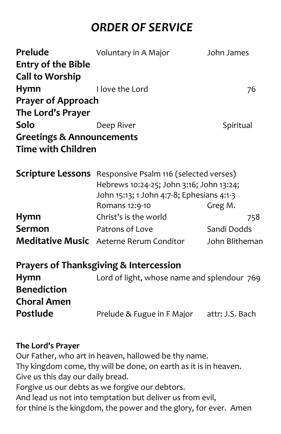# *ORDER OF SERVICE*

| Prelude                              | Voluntary in A Major                                            | John James      |
|--------------------------------------|-----------------------------------------------------------------|-----------------|
| <b>Entry of the Bible</b>            |                                                                 |                 |
| <b>Call to Worship</b>               |                                                                 |                 |
| Hymn                                 | I love the Lord                                                 | 76              |
| <b>Prayer of Approach</b>            |                                                                 |                 |
| The Lord's Prayer                    |                                                                 |                 |
| Solo                                 | Deep River                                                      | Spiritual       |
| <b>Greetings &amp; Announcements</b> |                                                                 |                 |
| <b>Time with Children</b>            |                                                                 |                 |
|                                      |                                                                 |                 |
|                                      | <b>Scripture Lessons</b> Responsive Psalm 116 (selected verses) |                 |
|                                      | Hebrews 10:24-25; John 3:16; John 13:24;                        |                 |
|                                      | John 15:13; 1 John 4:7-8; Ephesians 4:1-3                       |                 |
|                                      | Romans 12:9-10                                                  | Greg M.         |
| Hymn                                 | Christ's is the world                                           | 758             |
| <b>Sermon</b>                        | Patrons of Love                                                 | Sandi Dodds     |
|                                      | <b>Meditative Music</b> Aeterne Rerum Conditor                  | John Blitheman  |
|                                      | <b>Prayers of Thanksgiving &amp; Intercession</b>               |                 |
|                                      |                                                                 |                 |
| <b>Hymn</b>                          | Lord of light, whose name and splendour 769                     |                 |
| <b>Benediction</b>                   |                                                                 |                 |
| <b>Choral Amen</b>                   |                                                                 |                 |
| Postlude                             | Prelude & Fugue in F Major                                      | attr: J.S. Bach |
|                                      |                                                                 |                 |

#### **The Lord's Prayer**

Our Father, who art in heaven, hallowed be thy name. Thy kingdom come, thy will be done, on earth as it is in heaven. Give us this day our daily bread. Forgive us our debts as we forgive our debtors. And lead us not into temptation but deliver us from evil, for thine is the kingdom, the power and the glory, for ever. Amen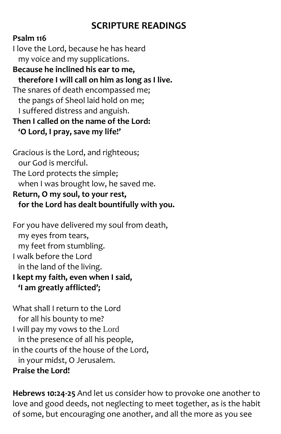# **SCRIPTURE READINGS**

#### **Psalm 116**

I love the Lord, because he has heard my voice and my supplications.

**Because he inclined his ear to me, therefore I will call on him as long as I live.** The snares of death encompassed me; the pangs of Sheol laid hold on me; I suffered distress and anguish. **Then I called on the name of the Lord:**

**'O Lord, I pray, save my life!'**

Gracious is the Lord, and righteous; our God is merciful. The Lord protects the simple; when I was brought low, he saved me. **Return, O my soul, to your rest, for the Lord has dealt bountifully with you.**

For you have delivered my soul from death, my eyes from tears, my feet from stumbling. I walk before the Lord in the land of the living. **I kept my faith, even when I said,**

**'I am greatly afflicted';**

What shall I return to the Lord for all his bounty to me? I will pay my vows to the Lord in the presence of all his people, in the courts of the house of the Lord, in your midst, O Jerusalem. **Praise the Lord!**

**Hebrews 10:24-25** And let us consider how to provoke one another to love and good deeds, not neglecting to meet together, as is the habit of some, but encouraging one another, and all the more as you see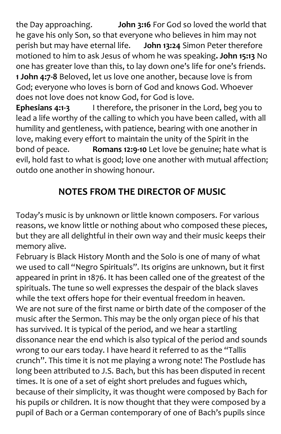the Day approaching. **John 3:16** For God so loved the world that he gave his only Son, so that everyone who believes in him may not perish but may have eternal life. **John 13:24** Simon Peter therefore motioned to him to ask Jesus of whom he was speaking**. John 15:13** No one has greater love than this, to lay down one's life for one's friends. **1 John 4:7-8** Beloved, let us love one another, because love is from God; everyone who loves is born of God and knows God. Whoever does not love does not know God, for God is love.

**Ephesians 4:1-3** I therefore, the prisoner in the Lord, beg you to lead a life worthy of the calling to which you have been called, with all humility and gentleness, with patience, bearing with one another in love, making every effort to maintain the unity of the Spirit in the bond of peace. **Romans 12:9-10** Let love be genuine; hate what is evil, hold fast to what is good; love one another with mutual affection; outdo one another in showing honour.

# **NOTES FROM THE DIRECTOR OF MUSIC**

Today's music is by unknown or little known composers. For various reasons, we know little or nothing about who composed these pieces, but they are all delightful in their own way and their music keeps their memory alive.

February is Black History Month and the Solo is one of many of what we used to call "Negro Spirituals". Its origins are unknown, but it first appeared in print in 1876. It has been called one of the greatest of the spirituals. The tune so well expresses the despair of the black slaves while the text offers hope for their eventual freedom in heaven. We are not sure of the first name or birth date of the composer of the music after the Sermon. This may be the only organ piece of his that has survived. It is typical of the period, and we hear a startling dissonance near the end which is also typical of the period and sounds wrong to our ears today. I have heard it referred to as the "Tallis crunch". This time it is not me playing a wrong note! The Postlude has long been attributed to J.S. Bach, but this has been disputed in recent times. It is one of a set of eight short preludes and fugues which, because of their simplicity, it was thought were composed by Bach for his pupils or children. It is now thought that they were composed by a pupil of Bach or a German contemporary of one of Bach's pupils since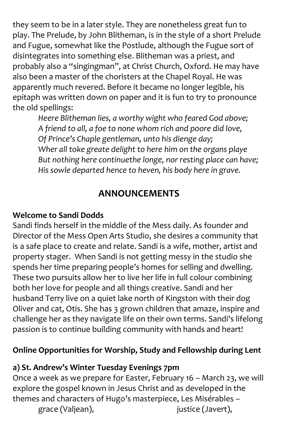they seem to be in a later style. They are nonetheless great fun to play. The Prelude, by John Blitheman, is in the style of a short Prelude and Fugue, somewhat like the Postlude, although the Fugue sort of disintegrates into something else. Blitheman was a priest, and probably also a "singingman", at Christ Church, Oxford. He may have also been a master of the choristers at the Chapel Royal. He was apparently much revered. Before it became no longer legible, his epitaph was written down on paper and it is fun to try to pronounce the old spellings:

*Heere Blitheman lies, a worthy wight who feared God above; A friend to all, a foe to none whom rich and poore did love, Of Prince's Chaple gentleman, unto his dienge day; Wher all toke greate delight to here him on the organs playe But nothing here continuethe longe, nor resting place can have; His sowle departed hence to heven, his body here in grave.*

### **ANNOUNCEMENTS**

#### **Welcome to Sandi Dodds**

Sandi finds herself in the middle of the Mess daily. As founder and Director of the Mess Open Arts Studio, she desires a community that is a safe place to create and relate. Sandi is a wife, mother, artist and property stager. When Sandi is not getting messy in the studio she spends her time preparing people's homes for selling and dwelling. These two pursuits allow her to live her life in full colour combining both her love for people and all things creative. Sandi and her husband Terry live on a quiet lake north of Kingston with their dog Oliver and cat, Otis. She has 3 grown children that amaze, inspire and challenge her as they navigate life on their own terms. Sandi's lifelong passion is to continue building community with hands and heart!

#### **Online Opportunities for Worship, Study and Fellowship during Lent**

#### **a) St. Andrew's Winter Tuesday Evenings 7pm**

Once a week as we prepare for Easter, February 16 – March 23, we will explore the gospel known in Jesus Christ and as developed in the themes and characters of Hugo's masterpiece, Les Misérables – grace (Valjean), iustice (Javert),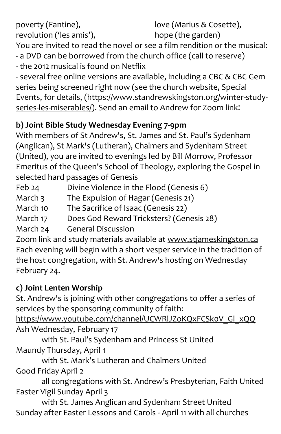poverty (Fantine), revolution ('les amis'), love (Marius & Cosette), hope (the garden) You are invited to read the novel or see a film rendition or the musical: - a DVD can be borrowed from the church office (call to reserve) - the 2012 musical is found on Netflix

- several free online versions are available, including a CBC & CBC Gem series being screened right now (see the church website, Special Events, for details, [\(https://www.standrewskingston.org/winter-study](https://www.standrewskingston.org/winter-study-series-les-miserables/)[series-les-miserables/\)](https://www.standrewskingston.org/winter-study-series-les-miserables/). Send an email to Andrew for Zoom link!

### **b) Joint Bible Study Wednesday Evening 7-9pm**

With members of St Andrew's, St. James and St. Paul's Sydenham (Anglican), St Mark's (Lutheran), Chalmers and Sydenham Street (United), you are invited to evenings led by Bill Morrow, Professor Emeritus of the Queen's School of Theology, exploring the Gospel in selected hard passages of Genesis

Feb 24 Divine Violence in the Flood (Genesis 6)

March 3 The Expulsion of Hagar (Genesis 21)

March 10 The Sacrifice of Isaac (Genesis 22)

March 17 Does God Reward Tricksters? (Genesis 28)

March 24 General Discussion

Zoom link and study materials available at www.stjameskingston.ca Each evening will begin with a short vesper service in the tradition of the host congregation, with St. Andrew's hosting on Wednesday February 24.

# **c) Joint Lenten Worship**

St. Andrew's is joining with other congregations to offer a series of services by the sponsoring community of faith:

https://www.youtube.com/channel/UCWRlJZoKQxFCSk0V\_Gl\_xQQ Ash Wednesday, February 17

with St. Paul's Sydenham and Princess St United Maundy Thursday, April 1

with St. Mark's Lutheran and Chalmers United Good Friday April 2

all congregations with St. Andrew's Presbyterian, Faith United Easter Vigil Sunday April 3

with St. James Anglican and Sydenham Street United Sunday after Easter Lessons and Carols - April 11 with all churches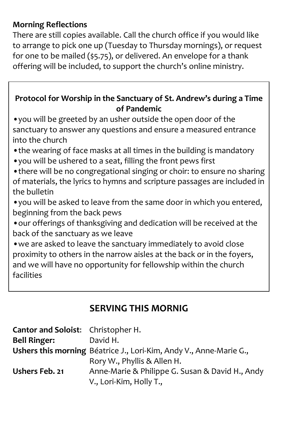#### **Morning Reflections**

There are still copies available. Call the church office if you would like to arrange to pick one up (Tuesday to Thursday mornings), or request for one to be mailed (\$5.75), or delivered. An envelope for a thank offering will be included, to support the church's online ministry.

#### **Protocol for Worship in the Sanctuary of St. Andrew's during a Time of Pandemic**

•you will be greeted by an usher outside the open door of the sanctuary to answer any questions and ensure a measured entrance into the church

- •the wearing of face masks at all times in the building is mandatory
- •you will be ushered to a seat, filling the front pews first
- •there will be no congregational singing or choir: to ensure no sharing of materials, the lyrics to hymns and scripture passages are included in the bulletin
- •you will be asked to leave from the same door in which you entered, beginning from the back pews
- •our offerings of thanksgiving and dedication will be received at the back of the sanctuary as we leave

•we are asked to leave the sanctuary immediately to avoid close proximity to others in the narrow aisles at the back or in the foyers, and we will have no opportunity for fellowship within the church facilities

## **SERVING THIS MORNIG**

| Cantor and Soloist: Christopher H. |                                                                    |
|------------------------------------|--------------------------------------------------------------------|
| <b>Bell Ringer:</b>                | David H.                                                           |
|                                    | Ushers this morning Béatrice J., Lori-Kim, Andy V., Anne-Marie G., |
|                                    | Rory W., Phyllis & Allen H.                                        |
| Ushers Feb. 21                     | Anne-Marie & Philippe G. Susan & David H., Andy                    |
|                                    | V., Lori-Kim, Holly T.,                                            |